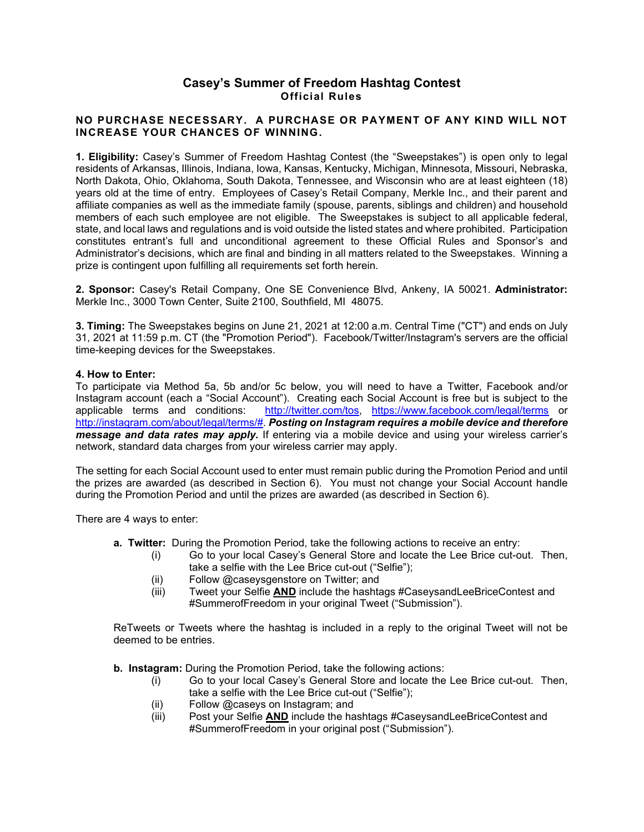## **Casey's Summer of Freedom Hashtag Contest Official Rules**

## **NO PURCHASE NECESSARY. A PURCHASE OR PAYMENT OF ANY KIND WILL NOT INCREASE YOUR CHANCES OF WINNING.**

**1. Eligibility:** Casey's Summer of Freedom Hashtag Contest (the "Sweepstakes") is open only to legal residents of Arkansas, Illinois, Indiana, Iowa, Kansas, Kentucky, Michigan, Minnesota, Missouri, Nebraska, North Dakota, Ohio, Oklahoma, South Dakota, Tennessee, and Wisconsin who are at least eighteen (18) years old at the time of entry. Employees of Casey's Retail Company, Merkle Inc., and their parent and affiliate companies as well as the immediate family (spouse, parents, siblings and children) and household members of each such employee are not eligible. The Sweepstakes is subject to all applicable federal, state, and local laws and regulations and is void outside the listed states and where prohibited. Participation constitutes entrant's full and unconditional agreement to these Official Rules and Sponsor's and Administrator's decisions, which are final and binding in all matters related to the Sweepstakes. Winning a prize is contingent upon fulfilling all requirements set forth herein.

**2. Sponsor:** Casey's Retail Company, One SE Convenience Blvd, Ankeny, IA 50021. **Administrator:** Merkle Inc., 3000 Town Center, Suite 2100, Southfield, MI 48075.

**3. Timing:** The Sweepstakes begins on June 21, 2021 at 12:00 a.m. Central Time ("CT") and ends on July 31, 2021 at 11:59 p.m. CT (the "Promotion Period"). Facebook/Twitter/Instagram's servers are the official time-keeping devices for the Sweepstakes.

## **4. How to Enter:**

To participate via Method 5a, 5b and/or 5c below, you will need to have a Twitter, Facebook and/or Instagram account (each a "Social Account"). Creating each Social Account is free but is subject to the applicable terms and conditions: http://twitter.com/tos. https://www.facebook.com/legal/terms or [http://twitter.com/tos,](http://twitter.com/tos) <https://www.facebook.com/legal/terms> or [http://instagram.com/about/legal/terms/#.](http://instagram.com/about/legal/terms/) *Posting on Instagram requires a mobile device and therefore message and data rates may apply.* If entering via a mobile device and using your wireless carrier's network, standard data charges from your wireless carrier may apply.

The setting for each Social Account used to enter must remain public during the Promotion Period and until the prizes are awarded (as described in Section 6). You must not change your Social Account handle during the Promotion Period and until the prizes are awarded (as described in Section 6).

There are 4 ways to enter:

- **a. Twitter:** During the Promotion Period, take the following actions to receive an entry:
	- (i) Go to your local Casey's General Store and locate the Lee Brice cut-out. Then, take a selfie with the Lee Brice cut-out ("Selfie");
	- (ii) Follow @caseysgenstore on Twitter; and
	- (iii) Tweet your Selfie **AND** include the hashtags #CaseysandLeeBriceContest and #SummerofFreedom in your original Tweet ("Submission").

ReTweets or Tweets where the hashtag is included in a reply to the original Tweet will not be deemed to be entries.

**b. Instagram:** During the Promotion Period, take the following actions:

- (i) Go to your local Casey's General Store and locate the Lee Brice cut-out. Then, take a selfie with the Lee Brice cut-out ("Selfie");
- (ii) Follow @caseys on Instagram; and
- (iii) Post your Selfie **AND** include the hashtags #CaseysandLeeBriceContest and #SummerofFreedom in your original post ("Submission").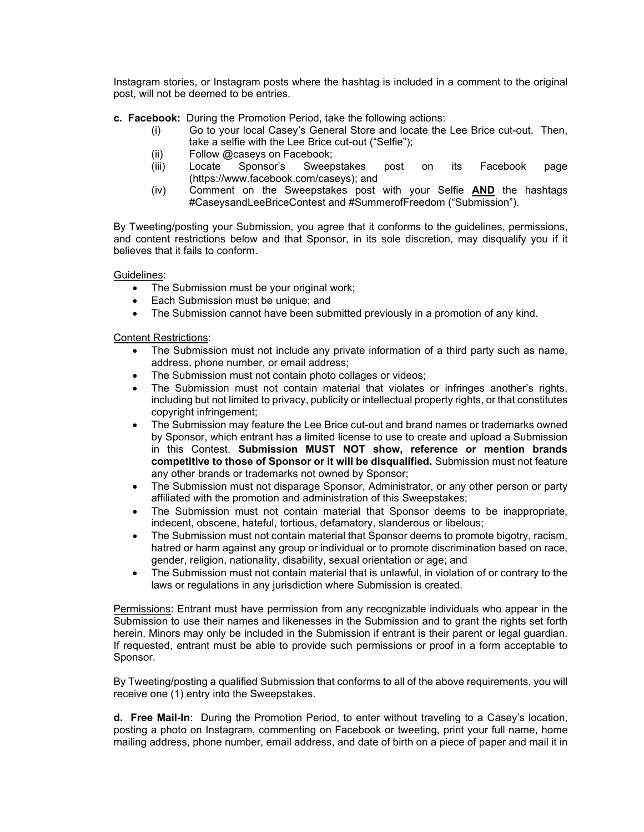Instagram stories, or Instagram posts where the hashtag is included in a comment to the original post, will not be deemed to be entries.

- **c. Facebook:** During the Promotion Period, take the following actions:
	- (i) Go to your local Casey's General Store and locate the Lee Brice cut-out. Then, take a selfie with the Lee Brice cut-out ("Selfie");
	- (ii) Follow @caseys on Facebook;
	- (iii) Locate Sponsor's Sweepstakes post on its Facebook page (https://www.facebook.com/caseys); and
	- (iv) Comment on the Sweepstakes post with your Selfie **AND** the hashtags #CaseysandLeeBriceContest and #SummerofFreedom ("Submission").

By Tweeting/posting your Submission, you agree that it conforms to the guidelines, permissions, and content restrictions below and that Sponsor, in its sole discretion, may disqualify you if it believes that it fails to conform.

Guidelines:

- The Submission must be your original work;
- Each Submission must be unique; and
- The Submission cannot have been submitted previously in a promotion of any kind.

## Content Restrictions:

- The Submission must not include any private information of a third party such as name, address, phone number, or email address;
- The Submission must not contain photo collages or videos;
- The Submission must not contain material that violates or infringes another's rights, including but not limited to privacy, publicity or intellectual property rights, or that constitutes copyright infringement;
- The Submission may feature the Lee Brice cut-out and brand names or trademarks owned by Sponsor, which entrant has a limited license to use to create and upload a Submission in this Contest. **Submission MUST NOT show, reference or mention brands competitive to those of Sponsor or it will be disqualified.** Submission must not feature any other brands or trademarks not owned by Sponsor;
- The Submission must not disparage Sponsor, Administrator, or any other person or party affiliated with the promotion and administration of this Sweepstakes;
- The Submission must not contain material that Sponsor deems to be inappropriate, indecent, obscene, hateful, tortious, defamatory, slanderous or libelous;
- The Submission must not contain material that Sponsor deems to promote bigotry, racism, hatred or harm against any group or individual or to promote discrimination based on race, gender, religion, nationality, disability, sexual orientation or age; and
- The Submission must not contain material that is unlawful, in violation of or contrary to the laws or regulations in any jurisdiction where Submission is created.

Permissions: Entrant must have permission from any recognizable individuals who appear in the Submission to use their names and likenesses in the Submission and to grant the rights set forth herein. Minors may only be included in the Submission if entrant is their parent or legal guardian. If requested, entrant must be able to provide such permissions or proof in a form acceptable to Sponsor.

By Tweeting/posting a qualified Submission that conforms to all of the above requirements, you will receive one (1) entry into the Sweepstakes.

**d. Free Mail-In**: During the Promotion Period, to enter without traveling to a Casey's location, posting a photo on Instagram, commenting on Facebook or tweeting, print your full name, home mailing address, phone number, email address, and date of birth on a piece of paper and mail it in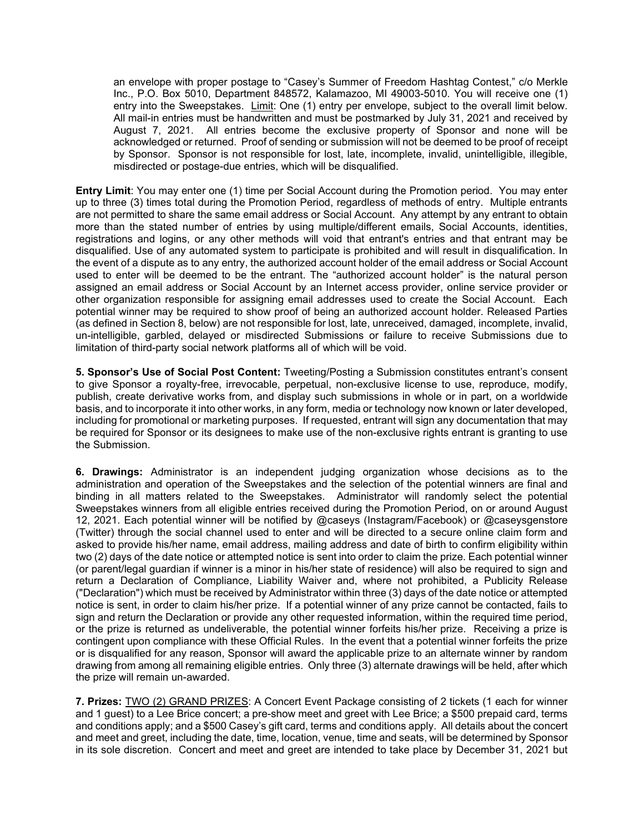an envelope with proper postage to "Casey's Summer of Freedom Hashtag Contest," c/o Merkle Inc., P.O. Box 5010, Department 848572, Kalamazoo, MI 49003-5010. You will receive one (1) entry into the Sweepstakes. Limit: One (1) entry per envelope, subject to the overall limit below. All mail-in entries must be handwritten and must be postmarked by July 31, 2021 and received by August 7, 2021. All entries become the exclusive property of Sponsor and none will be acknowledged or returned. Proof of sending or submission will not be deemed to be proof of receipt by Sponsor. Sponsor is not responsible for lost, late, incomplete, invalid, unintelligible, illegible, misdirected or postage-due entries, which will be disqualified.

**Entry Limit**: You may enter one (1) time per Social Account during the Promotion period. You may enter up to three (3) times total during the Promotion Period, regardless of methods of entry. Multiple entrants are not permitted to share the same email address or Social Account. Any attempt by any entrant to obtain more than the stated number of entries by using multiple/different emails, Social Accounts, identities, registrations and logins, or any other methods will void that entrant's entries and that entrant may be disqualified. Use of any automated system to participate is prohibited and will result in disqualification. In the event of a dispute as to any entry, the authorized account holder of the email address or Social Account used to enter will be deemed to be the entrant. The "authorized account holder" is the natural person assigned an email address or Social Account by an Internet access provider, online service provider or other organization responsible for assigning email addresses used to create the Social Account. Each potential winner may be required to show proof of being an authorized account holder. Released Parties (as defined in Section 8, below) are not responsible for lost, late, unreceived, damaged, incomplete, invalid, un-intelligible, garbled, delayed or misdirected Submissions or failure to receive Submissions due to limitation of third-party social network platforms all of which will be void.

**5. Sponsor's Use of Social Post Content:** Tweeting/Posting a Submission constitutes entrant's consent to give Sponsor a royalty-free, irrevocable, perpetual, non-exclusive license to use, reproduce, modify, publish, create derivative works from, and display such submissions in whole or in part, on a worldwide basis, and to incorporate it into other works, in any form, media or technology now known or later developed, including for promotional or marketing purposes. If requested, entrant will sign any documentation that may be required for Sponsor or its designees to make use of the non-exclusive rights entrant is granting to use the Submission.

**6. Drawings:** Administrator is an independent judging organization whose decisions as to the administration and operation of the Sweepstakes and the selection of the potential winners are final and binding in all matters related to the Sweepstakes. Administrator will randomly select the potential Sweepstakes winners from all eligible entries received during the Promotion Period, on or around August 12, 2021. Each potential winner will be notified by @caseys (Instagram/Facebook) or @caseysgenstore (Twitter) through the social channel used to enter and will be directed to a secure online claim form and asked to provide his/her name, email address, mailing address and date of birth to confirm eligibility within two (2) days of the date notice or attempted notice is sent into order to claim the prize. Each potential winner (or parent/legal guardian if winner is a minor in his/her state of residence) will also be required to sign and return a Declaration of Compliance, Liability Waiver and, where not prohibited, a Publicity Release ("Declaration") which must be received by Administrator within three (3) days of the date notice or attempted notice is sent, in order to claim his/her prize. If a potential winner of any prize cannot be contacted, fails to sign and return the Declaration or provide any other requested information, within the required time period, or the prize is returned as undeliverable, the potential winner forfeits his/her prize. Receiving a prize is contingent upon compliance with these Official Rules. In the event that a potential winner forfeits the prize or is disqualified for any reason, Sponsor will award the applicable prize to an alternate winner by random drawing from among all remaining eligible entries. Only three (3) alternate drawings will be held, after which the prize will remain un-awarded.

**7. Prizes:** TWO (2) GRAND PRIZES: A Concert Event Package consisting of 2 tickets (1 each for winner and 1 guest) to a Lee Brice concert; a pre-show meet and greet with Lee Brice; a \$500 prepaid card, terms and conditions apply; and a \$500 Casey's gift card, terms and conditions apply. All details about the concert and meet and greet, including the date, time, location, venue, time and seats, will be determined by Sponsor in its sole discretion. Concert and meet and greet are intended to take place by December 31, 2021 but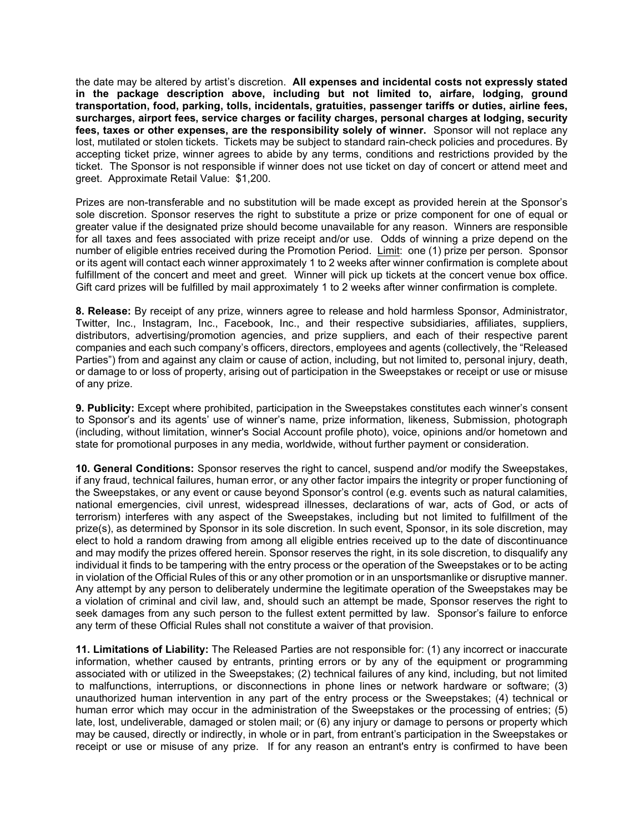the date may be altered by artist's discretion. **All expenses and incidental costs not expressly stated in the package description above, including but not limited to, airfare, lodging, ground transportation, food, parking, tolls, incidentals, gratuities, passenger tariffs or duties, airline fees, surcharges, airport fees, service charges or facility charges, personal charges at lodging, security fees, taxes or other expenses, are the responsibility solely of winner.** Sponsor will not replace any lost, mutilated or stolen tickets. Tickets may be subject to standard rain-check policies and procedures. By accepting ticket prize, winner agrees to abide by any terms, conditions and restrictions provided by the ticket. The Sponsor is not responsible if winner does not use ticket on day of concert or attend meet and greet. Approximate Retail Value: \$1,200.

Prizes are non-transferable and no substitution will be made except as provided herein at the Sponsor's sole discretion. Sponsor reserves the right to substitute a prize or prize component for one of equal or greater value if the designated prize should become unavailable for any reason. Winners are responsible for all taxes and fees associated with prize receipt and/or use. Odds of winning a prize depend on the number of eligible entries received during the Promotion Period. Limit: one (1) prize per person. Sponsor or its agent will contact each winner approximately 1 to 2 weeks after winner confirmation is complete about fulfillment of the concert and meet and greet. Winner will pick up tickets at the concert venue box office. Gift card prizes will be fulfilled by mail approximately 1 to 2 weeks after winner confirmation is complete.

**8. Release:** By receipt of any prize, winners agree to release and hold harmless Sponsor, Administrator, Twitter, Inc., Instagram, Inc., Facebook, Inc., and their respective subsidiaries, affiliates, suppliers, distributors, advertising/promotion agencies, and prize suppliers, and each of their respective parent companies and each such company's officers, directors, employees and agents (collectively, the "Released Parties") from and against any claim or cause of action, including, but not limited to, personal injury, death, or damage to or loss of property, arising out of participation in the Sweepstakes or receipt or use or misuse of any prize.

**9. Publicity:** Except where prohibited, participation in the Sweepstakes constitutes each winner's consent to Sponsor's and its agents' use of winner's name, prize information, likeness, Submission, photograph (including, without limitation, winner's Social Account profile photo), voice, opinions and/or hometown and state for promotional purposes in any media, worldwide, without further payment or consideration.

**10. General Conditions:** Sponsor reserves the right to cancel, suspend and/or modify the Sweepstakes, if any fraud, technical failures, human error, or any other factor impairs the integrity or proper functioning of the Sweepstakes, or any event or cause beyond Sponsor's control (e.g. events such as natural calamities, national emergencies, civil unrest, widespread illnesses, declarations of war, acts of God, or acts of terrorism) interferes with any aspect of the Sweepstakes, including but not limited to fulfillment of the prize(s), as determined by Sponsor in its sole discretion. In such event, Sponsor, in its sole discretion, may elect to hold a random drawing from among all eligible entries received up to the date of discontinuance and may modify the prizes offered herein. Sponsor reserves the right, in its sole discretion, to disqualify any individual it finds to be tampering with the entry process or the operation of the Sweepstakes or to be acting in violation of the Official Rules of this or any other promotion or in an unsportsmanlike or disruptive manner. Any attempt by any person to deliberately undermine the legitimate operation of the Sweepstakes may be a violation of criminal and civil law, and, should such an attempt be made, Sponsor reserves the right to seek damages from any such person to the fullest extent permitted by law. Sponsor's failure to enforce any term of these Official Rules shall not constitute a waiver of that provision.

**11. Limitations of Liability:** The Released Parties are not responsible for: (1) any incorrect or inaccurate information, whether caused by entrants, printing errors or by any of the equipment or programming associated with or utilized in the Sweepstakes; (2) technical failures of any kind, including, but not limited to malfunctions, interruptions, or disconnections in phone lines or network hardware or software; (3) unauthorized human intervention in any part of the entry process or the Sweepstakes; (4) technical or human error which may occur in the administration of the Sweepstakes or the processing of entries; (5) late, lost, undeliverable, damaged or stolen mail; or (6) any injury or damage to persons or property which may be caused, directly or indirectly, in whole or in part, from entrant's participation in the Sweepstakes or receipt or use or misuse of any prize. If for any reason an entrant's entry is confirmed to have been